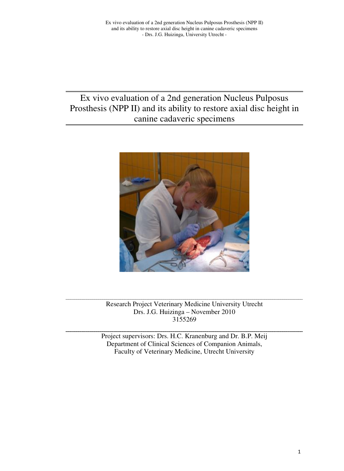# Ex vivo evaluation of a 2nd generation Nucleus Pulposus Prosthesis (NPP II) and its ability to restore axial disc height in canine cadaveric specimens



Research Project Veterinary Medicine University Utrecht Drs. J.G. Huizinga – November 2010 3155269

Project supervisors: Drs. H.C. Kranenburg and Dr. B.P. Meij Department of Clinical Sciences of Companion Animals, Faculty of Veterinary Medicine, Utrecht University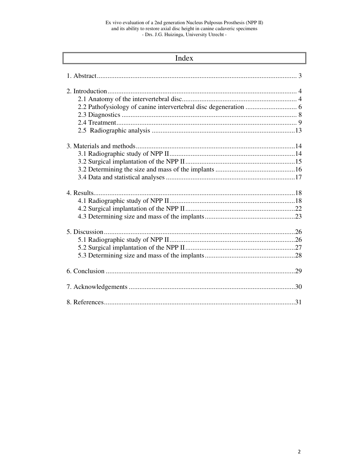| Index |  |  |  |
|-------|--|--|--|
|       |  |  |  |
|       |  |  |  |
|       |  |  |  |
|       |  |  |  |
|       |  |  |  |
|       |  |  |  |
|       |  |  |  |
|       |  |  |  |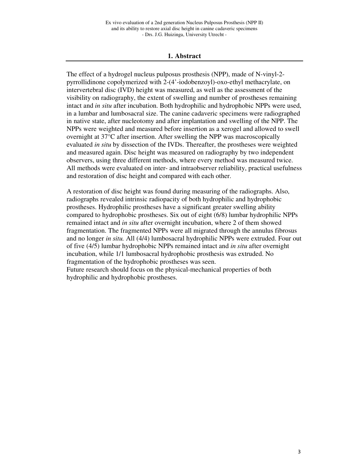#### **1. Abstract**

The effect of a hydrogel nucleus pulposus prosthesis (NPP), made of N-vinyl-2 pyrrollidinone copolymerized with 2-(4'-iodobenzoyl)-oxo-ethyl methacrylate, on intervertebral disc (IVD) height was measured, as well as the assessment of the visibility on radiography, the extent of swelling and number of prostheses remaining intact and *in situ* after incubation. Both hydrophilic and hydrophobic NPPs were used, in a lumbar and lumbosacral size. The canine cadaveric specimens were radiographed in native state, after nucleotomy and after implantation and swelling of the NPP. The NPPs were weighted and measured before insertion as a xerogel and allowed to swell overnight at 37°C after insertion. After swelling the NPP was macroscopically evaluated *in situ* by dissection of the IVDs. Thereafter, the prostheses were weighted and measured again. Disc height was measured on radiography by two independent observers, using three different methods, where every method was measured twice. All methods were evaluated on inter- and intraobserver reliability, practical usefulness and restoration of disc height and compared with each other.

A restoration of disc height was found during measuring of the radiographs. Also, radiographs revealed intrinsic radiopacity of both hydrophilic and hydrophobic prostheses. Hydrophilic prostheses have a significant greater swelling ability compared to hydrophobic prostheses. Six out of eight (6/8) lumbar hydrophilic NPPs remained intact and *in situ* after overnight incubation, where 2 of them showed fragmentation. The fragmented NPPs were all migrated through the annulus fibrosus and no longer *in situ.* All (4/4) lumbosacral hydrophilic NPPs were extruded. Four out of five (4/5) lumbar hydrophobic NPPs remained intact and *in situ* after overnight incubation, while 1/1 lumbosacral hydrophobic prosthesis was extruded. No fragmentation of the hydrophobic prostheses was seen.

Future research should focus on the physical-mechanical properties of both hydrophilic and hydrophobic prostheses.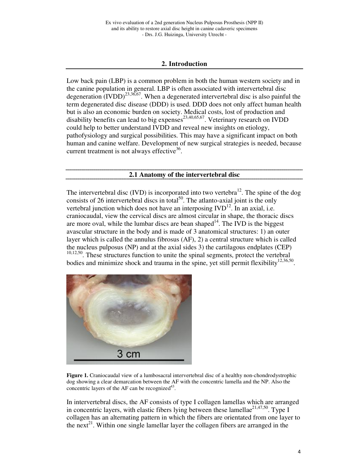## **2. Introduction**

Low back pain (LBP) is a common problem in both the human western society and in the canine population in general. LBP is often associated with intervertebral disc degeneration  $(IVDD)^{23,36,67}$ . When a degenerated intervertebral disc is also painful the term degenerated disc disease (DDD) is used. DDD does not only affect human health but is also an economic burden on society. Medical costs, lost of production and disability benefits can lead to big expenses $^{23,40,65,67}$ . Veterinary research on IVDD could help to better understand IVDD and reveal new insights on etiology, pathofysiology and surgical possibilities. This may have a significant impact on both human and canine welfare. Development of new surgical strategies is needed, because current treatment is not always effective<sup>36</sup>.

**2.1 Anatomy of the intervertebral disc** 

The intervertebral disc (IVD) is incorporated into two vertebra<sup>12</sup>. The spine of the dog consists of 26 intervertebral discs in total<sup>50</sup>. The atlanto-axial joint is the only vertebral junction which does not have an interposing  $IVD<sup>12</sup>$ . In an axial, i.e. craniocaudal, view the cervical discs are almost circular in shape, the thoracic discs are more oval, while the lumbar discs are bean shaped $14$ . The IVD is the biggest avascular structure in the body and is made of 3 anatomical structures: 1) an outer layer which is called the annulus fibrosus (AF), 2) a central structure which is called the nucleus pulposus (NP) and at the axial sides 3) the cartilagous endplates (CEP) <sup>10,12,50</sup>. These structures function to unite the spinal segments, protect the vertebral bodies and minimize shock and trauma in the spine, yet still permit flexibility<sup>12,36,50</sup>.



**Figure 1.** Craniocaudal view of a lumbosacral intervertebral disc of a healthy non-chondrodystrophic dog showing a clear demarcation between the AF with the concentric lamella and the NP. Also the concentric layers of the AF can be recognized $43$ .

In intervertebral discs, the AF consists of type I collagen lamellas which are arranged in concentric layers, with elastic fibers lying between these lamellae<sup>21,47,50</sup>. Type I collagen has an alternating pattern in which the fibers are orientated from one layer to the next<sup>21</sup>. Within one single lamellar layer the collagen fibers are arranged in the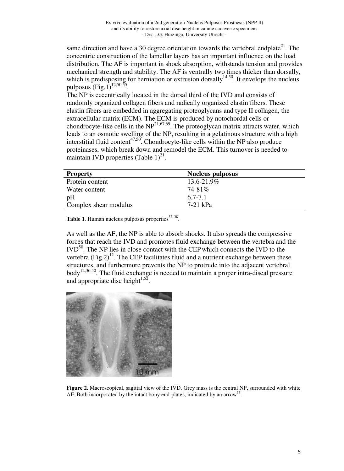same direction and have a 30 degree orientation towards the vertebral endplate<sup>21</sup>. The concentric construction of the lamellar layers has an important influence on the load distribution. The AF is important in shock absorption, withstands tension and provides mechanical strength and stability. The AF is ventrally two times thicker than dorsally, which is predisposing for herniation or extrusion dorsally<sup>14,50</sup>. It envelops the nucleus pulposus  $(Fig, 1)^{12,50,55}$ .

The NP is eccentrically located in the dorsal third of the IVD and consists of randomly organized collagen fibers and radically organized elastin fibers. These elastin fibers are embedded in aggregating proteoglycans and type II collagen, the extracellular matrix (ECM). The ECM is produced by notochordal cells or chondrocyte-like cells in the  $NP^{21,67,69}$ . The proteoglycan matrix attracts water, which leads to an osmotic swelling of the NP, resulting in a gelatinous structure with a high interstitial fluid content<sup>47,50</sup>. Chondrocyte-like cells within the NP also produce proteinases, which break down and remodel the ECM. This turnover is needed to maintain IVD properties (Table  $1)^{21}$ .

| <b>Property</b>       | <b>Nucleus pulposus</b> |
|-----------------------|-------------------------|
| Protein content       | $13.6 - 21.9\%$         |
| Water content         | 74-81%                  |
| pH                    | $6.7 - 7.1$             |
| Complex shear modulus | 7-21 kPa                |

**Table 1.** Human nucleus pulposus properties $32, 38$ .

As well as the AF, the NP is able to absorb shocks. It also spreads the compressive forces that reach the IVD and promotes fluid exchange between the vertebra and the  $\text{IVD}^{50}$ . The NP lies in close contact with the CEP which connects the IVD to the vertebra  $(Fig.2)^{12}$ . The CEP facilitates fluid and a nutrient exchange between these structures, and furthermore prevents the NP to protrude into the adjacent vertebral body<sup>12,36,50</sup>. The fluid exchange is needed to maintain a proper intra-discal pressure and appropriate disc height $1.52$ .



**Figure 2.** Macroscopical, sagittal view of the IVD. Grey mass is the central NP, surrounded with white AF. Both incorporated by the intact bony end-plates, indicated by an arrow<sup>55</sup>.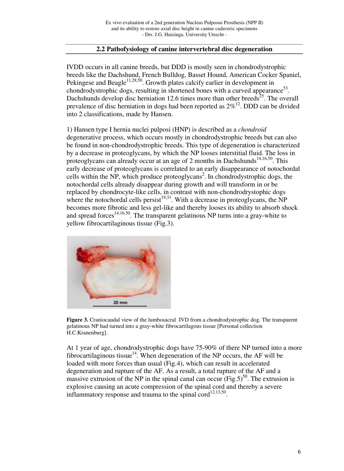# **2.2 Pathofysiology of canine intervertebral disc degeneration**

IVDD occurs in all canine breeds, but DDD is mostly seen in chondrodystrophic breeds like the Dachshund, French Bulldog, Basset Hound, American Cocker Spaniel, Pekingese and Beagle<sup>11,28,50</sup>. Growth plates calcify earlier in development in chondrodystrophic dogs, resulting in shortened bones with a curved appearance<sup>53</sup>. Dachshunds develop disc herniation 12.6 times more than other breeds<sup>25</sup>. The overall prevalence of disc herniation in dogs had been reported as  $2\%^{12}$ . DDD can be divided into 2 classifications, made by Hansen.

1) Hansen type I hernia nuclei pulposi (HNP) is described as a *chondroid* degenerative process, which occurs mostly in chondrodystrophic breeds but can also be found in non-chondrodystrophic breeds. This type of degeneration is characterized by a decrease in proteoglycans, by which the NP looses interstitial fluid. The loss in proteoglycans can already occur at an age of 2 months in Dachshunds<sup>14,16,50</sup>. This early decrease of proteoglycans is correlated to an early disappearance of notochordal cells within the NP, which produce proteoglycans<sup>2</sup>. In chondrodystrophic dogs, the notochordal cells already disappear during growth and will transform in or be replaced by chondrocyte-like cells, in contrast with non-chondrodrystophic dogs where the notochordal cells persist<sup>19,31</sup>. With a decrease in proteoglycans, the NP becomes more fibrotic and less gel-like and thereby looses its ability to absorb shock and spread forces<sup>14,16,50</sup>. The transparent gelatinous NP turns into a gray-white to yellow fibrocartilaginous tissue (Fig.3).



**Figure 3.** Craniocaudal view of the lumbosacral IVD from a chondrodystrophic dog. The transparent gelatinous NP had turned into a gray-white fibrocartilagous tissue [Personal collection H.C.Kranenburg].

At 1 year of age, chondrodystrophic dogs have 75-90% of there NP turned into a more fibrocartilaginous tissue<sup>14</sup>. When degeneration of the NP occurs, the AF will be loaded with more forces than usual (Fig.4), which can result in accelerated degeneration and rupture of the AF. As a result, a total rupture of the AF and a massive extrusion of the NP in the spinal canal can occur (Fig.5)<sup>50</sup>. The extrusion is explosive causing an acute compression of the spinal cord and thereby a severe inflammatory response and trauma to the spinal cord $^{12,13,50}$ .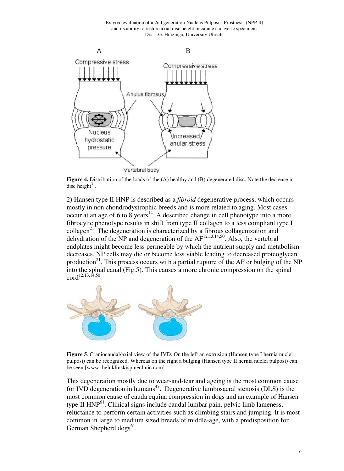Ex vivo evaluation of a 2nd generation Nucleus Pulposus Prosthesis (NPP II) and its ability to restore axial disc height in canine cadaveric specimens - Drs. J.G. Huizinga, University Utrecht -



**Figure 4.** Distribution of the loads of the (A) healthy and (B) degenerated disc. Note the decrease in disc height $31$ .

2) Hansen type II HNP is described as a *fibroid* degenerative process, which occurs mostly in non chondrodystrophic breeds and is more related to aging. Most cases  $\frac{1}{2}$  occur at an age of 6 to 8 years<sup>14</sup>. A described change in cell phenotype into a more fibrocytic phenotype results in shift from type II collagen to a less compliant type I  $\text{collagen}^{21}$ . The degeneration is characterized by a fibrous collagenization and dehydration of the NP and degeneration of the  $AF^{12,13,14,50}$ . Also, the vertebral endplates might become less permeable by which the nutrient supply and metabolism decreases. NP cells may die or become less viable leading to decreased proteoglycan production<sup>21</sup>. This process occurs with a partial rupture of the AF or bulging of the NP into the spinal canal (Fig.5). This causes a more chronic compression on the spinal  $\text{cord}^{12,13,14,50}$ .



**Figure 5**. Craniocaudal/axial view of the IVD. On the left an extrusion (Hansen type I hernia nuclei pulposi) can be recognized. Whereas on the right a bulging (Hansen type II hernia nuclei pulposi) can be seen [www.theluklinskispineclinic.com].

This degeneration mostly due to wear-and-tear and ageing is the most common cause for IVD degeneration in humans<sup>47</sup>. Degenerative lumbosacral stenosis (DLS) is the most common cause of cauda equina compression in dogs and an example of Hansen type II  $HNP<sup>61</sup>$ . Clinical signs include caudal lumbar pain, pelvic limb lameness, reluctance to perform certain activities such as climbing stairs and jumping. It is most common in large to medium sized breeds of middle-age, with a predisposition for German Shepherd dogs<sup>61</sup>.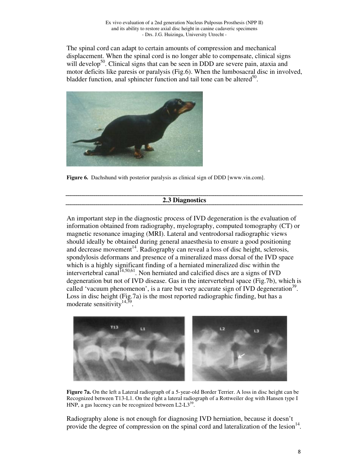The spinal cord can adapt to certain amounts of compression and mechanical displacement. When the spinal cord is no longer able to compensate, clinical signs will develop<sup>50</sup>. Clinical signs that can be seen in DDD are severe pain, ataxia and motor deficits like paresis or paralysis (Fig.6). When the lumbosacral disc in involved, bladder function, anal sphincter function and tail tone can be altered<sup>50</sup>.



**Figure 6.** Dachshund with posterior paralysis as clinical sign of DDD [www.vin.com].

## **2.3 Diagnostics**

An important step in the diagnostic process of IVD degeneration is the evaluation of information obtained from radiography, myelography, computed tomography (CT) or magnetic resonance imaging (MRI). Lateral and ventrodorsal radiographic views should ideally be obtained during general anaesthesia to ensure a good positioning and decrease movement<sup>14</sup>. Radiography can reveal a loss of disc height, sclerosis, spondylosis deformans and presence of a mineralized mass dorsal of the IVD space which is a highly significant finding of a herniated mineralized disc within the intervertebral canal  $I<sup>4,50,61</sup>$ . Non herniated and calcified discs are a signs of IVD degeneration but not of IVD disease. Gas in the intervertebral space (Fig.7b), which is called 'vacuum phenomenon', is a rare but very accurate sign of IVD degeneration<sup>39</sup>. Loss in disc height (Fig.7a) is the most reported radiographic finding, but has a moderate sensitivity<sup>14,39</sup>.



**Figure 7a.** On the left a Lateral radiograph of a 5-year-old Border Terrier. A loss in disc height can be Recognized between T13-L1. On the right a lateral radiograph of a Rottweiler dog with Hansen type I HNP, a gas lucency can be recognized between  $L2-L3^{39}$ .

Radiography alone is not enough for diagnosing IVD herniation, because it doesn't provide the degree of compression on the spinal cord and lateralization of the lesion $14$ .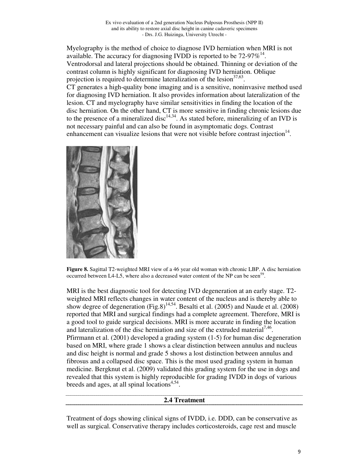Myelography is the method of choice to diagnose IVD herniation when MRI is not available. The accuracy for diagnosing IVDD is reported to be  $72-97\%^{14}$ . Ventrodorsal and lateral projections should be obtained. Thinning or deviation of the contrast column is highly significant for diagnosing IVD herniation. Oblique projection is required to determine lateralization of the lesion $37,63$ . CT generates a high-quality bone imaging and is a sensitive, noninvasive method used for diagnosing IVD herniation. It also provides information about lateralization of the lesion. CT and myelography have similar sensitivities in finding the location of the disc herniation. On the other hand, CT is more sensitive in finding chronic lesions due to the presence of a mineralized disc<sup>14,34</sup>. As stated before, mineralizing of an IVD is not necessary painful and can also be found in asymptomatic dogs. Contrast enhancement can visualize lesions that were not visible before contrast injection $14$ .



**Figure 8.** Sagittal T2-weighted MRI view of a 46 year old woman with chronic LBP. A disc herniation occurred between L4-L5, where also a decreased water content of the NP can be seen<sup>59</sup> .

MRI is the best diagnostic tool for detecting IVD degeneration at an early stage. T2 weighted MRI reflects changes in water content of the nucleus and is thereby able to show degree of degeneration (Fig.8)<sup>14,54</sup>. Besalti et al. (2005) and Naude et al. (2008) reported that MRI and surgical findings had a complete agreement. Therefore, MRI is a good tool to guide surgical decisions. MRI is more accurate in finding the location and lateralization of the disc herniation and size of the extruded material<sup>7,46</sup>. Pfirrmann et al. (2001) developed a grading system (1-5) for human disc degeneration based on MRI, where grade 1 shows a clear distinction between annulus and nucleus and disc height is normal and grade 5 shows a lost distinction between annulus and fibrosus and a collapsed disc space. This is the most used grading system in human medicine. Bergknut et al. (2009) validated this grading system for the use in dogs and revealed that this system is highly reproducible for grading IVDD in dogs of various breeds and ages, at all spinal locations<sup>4,54</sup>.

#### **2.4 Treatment**

Treatment of dogs showing clinical signs of IVDD, i.e. DDD, can be conservative as well as surgical. Conservative therapy includes corticosteroids, cage rest and muscle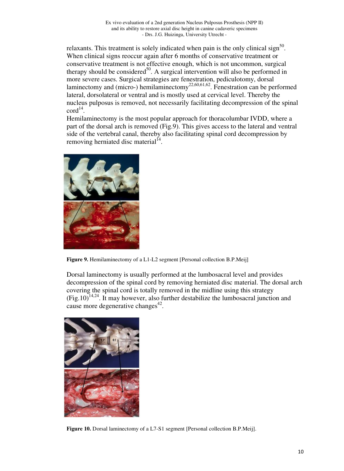relaxants. This treatment is solely indicated when pain is the only clinical sign<sup>50</sup>. When clinical signs reoccur again after 6 months of conservative treatment or conservative treatment is not effective enough, which is not uncommon, surgical therapy should be considered<sup>50</sup>. A surgical intervention will also be performed in more severe cases. Surgical strategies are fenestration, pediculotomy, dorsal laminectomy and (micro-) hemilaminectomy<sup>22,60,61,62</sup>. Fenestration can be performed lateral, dorsolateral or ventral and is mostly used at cervical level. Thereby the nucleus pulposus is removed, not necessarily facilitating decompression of the spinal  $\text{cord}^{14}$ .

Hemilaminectomy is the most popular approach for thoracolumbar IVDD, where a part of the dorsal arch is removed (Fig.9). This gives access to the lateral and ventral side of the vertebral canal, thereby also facilitating spinal cord decompression by removing herniated disc material<sup>14</sup>.



**Figure 9.** Hemilaminectomy of a L1-L2 segment [Personal collection B.P.Meij]

Dorsal laminectomy is usually performed at the lumbosacral level and provides decompression of the spinal cord by removing herniated disc material. The dorsal arch covering the spinal cord is totally removed in the midline using this strategy  $(Fig.10)^{14,24}$ . It may however, also further destabilize the lumbosacral junction and cause more degenerative changes<sup>42</sup>.



**Figure 10.** Dorsal laminectomy of a L7-S1 segment [Personal collection B.P.Meij].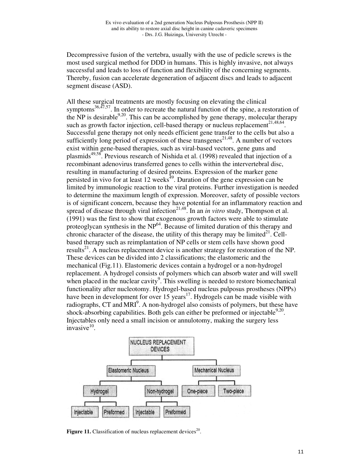Decompressive fusion of the vertebra, usually with the use of pedicle screws is the most used surgical method for DDD in humans. This is highly invasive, not always successful and leads to loss of function and flexibility of the concerning segments. Thereby, fusion can accelerate degeneration of adjacent discs and leads to adjacent segment disease (ASD).

All these surgical treatments are mostly focusing on elevating the clinical symptoms<sup>36,47,57</sup>. In order to recreate the natural function of the spine, a restoration of the NP is desirable  $9.20$ . This can be accomplished by gene therapy, molecular therapy such as growth factor injection, cell-based therapy or nucleus replacement<sup>21,48,64</sup>. Successful gene therapy not only needs efficient gene transfer to the cells but also a sufficiently long period of expression of these transgenes<sup>21,48</sup>. A number of vectors exist within gene-based therapies, such as viral-based vectors, gene guns and plasmids<sup> $49,58$ </sup>. Previous research of Nishida et al. (1998) revealed that injection of a recombinant adenovirus transferred genes to cells within the intervertebral disc, resulting in manufacturing of desired proteins. Expression of the marker gene persisted in vivo for at least 12 weeks<sup>49</sup>. Duration of the gene expression can be limited by immunologic reaction to the viral proteins. Further investigation is needed to determine the maximum length of expression. Moreover, safety of possible vectors is of significant concern, because they have potential for an inflammatory reaction and spread of disease through viral infection<sup>21,48</sup>. In an *in vitro* study, Thompson et al. (1991) was the first to show that exogenous growth factors were able to stimulate proteoglycan synthesis in the  $NP<sup>64</sup>$ . Because of limited duration of this therapy and chronic character of the disease, the utility of this therapy may be limited<sup>21</sup>. Cellbased therapy such as reimplantation of NP cells or stem cells have shown good results<sup>21</sup>. A nucleus replacement device is another strategy for restoration of the NP. These devices can be divided into 2 classifications; the elastomeric and the mechanical (Fig.11). Elastomeric devices contain a hydrogel or a non-hydrogel replacement. A hydrogel consists of polymers which can absorb water and will swell when placed in the nuclear cavity<sup>9</sup>. This swelling is needed to restore biomechanical functionality after nucleotomy. Hydrogel-based nucleus pulposus prostheses (NPPs) have been in development for over 15 years<sup>17</sup>. Hydrogels can be made visible with radiographs, CT and MRI<sup>9</sup>. A non-hydrogel also consists of polymers, but these have shock-absorbing capabilities. Both gels can either be preformed or injectable  $9,20$ . Injectables only need a small incision or annulotomy, making the surgery less  $invasive<sup>10</sup>$ .



**Figure 11.** Classification of nucleus replacement devices $20$ .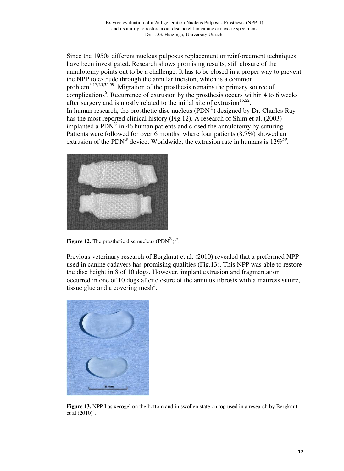Since the 1950s different nucleus pulposus replacement or reinforcement techniques have been investigated. Research shows promising results, still closure of the annulotomy points out to be a challenge. It has to be closed in a proper way to prevent the NPP to extrude through the annular incision, which is a common problem3,17,20,35,59. Migration of the prosthesis remains the primary source of complications<sup>6</sup>. Recurrence of extrusion by the prosthesis occurs within 4 to 6 weeks after surgery and is mostly related to the initial site of extrusion $15,22$ . In human research, the prosthetic disc nucleus  $(PDN^{\circledast})$  designed by Dr. Charles Ray has the most reported clinical history (Fig.12). A research of Shim et al. (2003) implanted a  $\overline{PDN}^{\otimes}$  in 46 human patients and closed the annulotomy by suturing. Patients were followed for over 6 months, where four patients (8.7%) showed an extrusion of the PDN<sup>®</sup> device. Worldwide, the extrusion rate in humans is  $12\%^{59}$ .



**Figure 12.** The prosthetic disc nucleus  $(PDN^{\circledast})^{17}$ .

Previous veterinary research of Bergknut et al. (2010) revealed that a preformed NPP used in canine cadavers has promising qualities (Fig.13). This NPP was able to restore the disc height in 8 of 10 dogs. However, implant extrusion and fragmentation occurred in one of 10 dogs after closure of the annulus fibrosis with a mattress suture, tissue glue and a covering mesh<sup>3</sup>.



**Figure 13.** NPP I as xerogel on the bottom and in swollen state on top used in a research by Bergknut et al  $(2010)^3$ .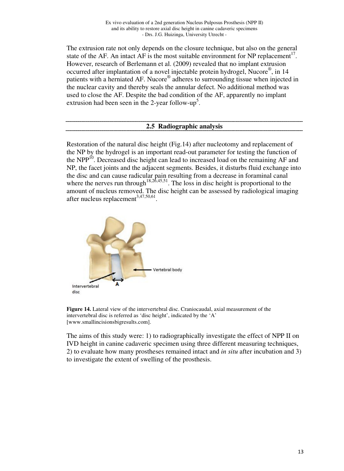The extrusion rate not only depends on the closure technique, but also on the general state of the AF. An intact AF is the most suitable environment for NP replacement<sup>17</sup>. However, research of Berlemann et al. (2009) revealed that no implant extrusion occurred after implantation of a novel injectable protein hydrogel, Nucore®, in 14 patients with a herniated AF. Nucore® adheres to surrounding tissue when injected in the nuclear cavity and thereby seals the annular defect. No additional method was used to close the AF. Despite the bad condition of the AF, apparently no implant extrusion had been seen in the 2-year follow-up<sup>5</sup>.

#### **2.5 Radiographic analysis**

Restoration of the natural disc height (Fig.14) after nucleotomy and replacement of the NP by the hydrogel is an important read-out parameter for testing the function of the NPP<sup>10</sup>. Decreased disc height can lead to increased load on the remaining AF and NP, the facet joints and the adjacent segments. Besides, it disturbs fluid exchange into the disc and can cause radicular pain resulting from a decrease in foraminal canal where the nerves run through<sup>18,26,45,51</sup>. The loss in disc height is proportional to the amount of nucleus removed. The disc height can be assessed by radiological imaging after nucleus replacement $^{3,47,50,61}$ .



**Figure 14.** Lateral view of the intervertebral disc. Craniocaudal, axial measurement of the intervertebral disc is referred as 'disc height', indicated by the 'A' [www.smallincisionsbigresults.com].

The aims of this study were: 1) to radiographically investigate the effect of NPP II on IVD height in canine cadaveric specimen using three different measuring techniques, 2) to evaluate how many prostheses remained intact and *in situ* after incubation and 3) to investigate the extent of swelling of the prosthesis.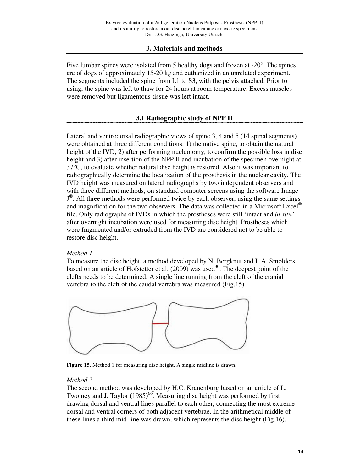# **3. Materials and methods**

Five lumbar spines were isolated from 5 healthy dogs and frozen at  $-20^\circ$ . The spines are of dogs of approximately 15-20 kg and euthanized in an unrelated experiment. The segments included the spine from L1 to S3, with the pelvis attached. Prior to using, the spine was left to thaw for 24 hours at room temperature. Excess muscles were removed but ligamentous tissue was left intact.

# **3.1 Radiographic study of NPP II**

Lateral and ventrodorsal radiographic views of spine 3, 4 and 5 (14 spinal segments) were obtained at three different conditions: 1) the native spine, to obtain the natural height of the IVD, 2) after performing nucleotomy, to confirm the possible loss in disc height and 3) after insertion of the NPP II and incubation of the specimen overnight at 37°C, to evaluate whether natural disc height is restored. Also it was important to radiographically determine the localization of the prosthesis in the nuclear cavity. The IVD height was measured on lateral radiographs by two independent observers and with three different methods, on standard computer screens using the software Image J<sup>®</sup>. All three methods were performed twice by each observer, using the same settings and magnification for the two observers. The data was collected in a Microsoft Excel<sup>®</sup> file. Only radiographs of IVDs in which the prostheses were still 'intact and *in situ'* after overnight incubation were used for measuring disc height. Prostheses which were fragmented and/or extruded from the IVD are considered not to be able to restore disc height.

## *Method 1*

To measure the disc height, a method developed by N. Bergknut and L.A. Smolders based on an article of Hofstetter et al.  $(2009)$  was used<sup>30</sup>. The deepest point of the clefts needs to be determined. A single line running from the cleft of the cranial vertebra to the cleft of the caudal vertebra was measured (Fig.15).



**Figure 15.** Method 1 for measuring disc height. A single midline is drawn.

## *Method 2*

The second method was developed by H.C. Kranenburg based on an article of L. Twomey and J. Taylor (1985)<sup>66</sup>. Measuring disc height was performed by first drawing dorsal and ventral lines parallel to each other, connecting the most extreme dorsal and ventral corners of both adjacent vertebrae. In the arithmetical middle of these lines a third mid-line was drawn, which represents the disc height (Fig.16).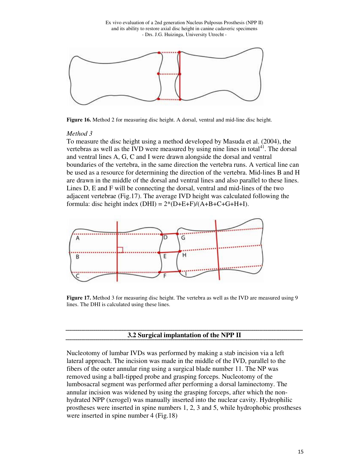Ex vivo evaluation of a 2nd generation Nucleus Pulposus Prosthesis (NPP II) and its ability to restore axial disc height in canine cadaveric specimens - Drs. J.G. Huizinga, University Utrecht -



**Figure 16.** Method 2 for measuring disc height. A dorsal, ventral and mid-line disc height.

#### *Method 3*

To measure the disc height using a method developed by Masuda et al. (2004), the vertebras as well as the IVD were measured by using nine lines in total $41$ . The dorsal and ventral lines A, G, C and I were drawn alongside the dorsal and ventral boundaries of the vertebra, in the same direction the vertebra runs. A vertical line can be used as a resource for determining the direction of the vertebra. Mid-lines B and H are drawn in the middle of the dorsal and ventral lines and also parallel to these lines. Lines D, E and F will be connecting the dorsal, ventral and mid-lines of the two adjacent vertebrae (Fig.17). The average IVD height was calculated following the formula: disc height index  $(DHI) = 2*(D+E+F)/(A+B+C+G+H+I)$ .



**Figure 17.** Method 3 for measuring disc height. The vertebra as well as the IVD are measured using 9 lines. The DHI is calculated using these lines.

#### **3.2 Surgical implantation of the NPP II**

Nucleotomy of lumbar IVDs was performed by making a stab incision via a left lateral approach. The incision was made in the middle of the IVD, parallel to the fibers of the outer annular ring using a surgical blade number 11. The NP was removed using a ball-tipped probe and grasping forceps. Nucleotomy of the lumbosacral segment was performed after performing a dorsal laminectomy. The annular incision was widened by using the grasping forceps, after which the nonhydrated NPP (xerogel) was manually inserted into the nuclear cavity. Hydrophilic prostheses were inserted in spine numbers 1, 2, 3 and 5, while hydrophobic prostheses were inserted in spine number 4 (Fig.18)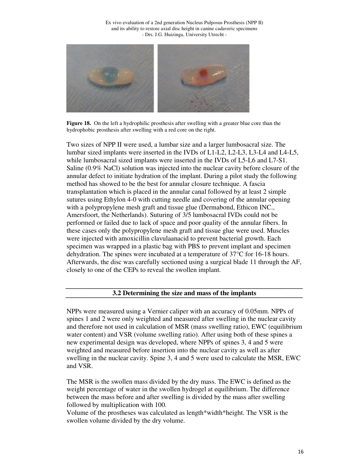

**Figure 18.** On the left a hydrophilic prosthesis after swelling with a greater blue core than the hydrophobic prosthesis after swelling with a red core on the right.

Two sizes of NPP II were used, a lumbar size and a larger lumbosacral size. The lumbar sized implants were inserted in the IVDs of L1-L2, L2-L3, L3-L4 and L4-L5, while lumbosacral sized implants were inserted in the IVDs of L5-L6 and L7-S1. Saline (0.9% NaCl) solution was injected into the nuclear cavity before closure of the annular defect to initiate hydration of the implant. During a pilot study the following method has showed to be the best for annular closure technique. A fascia transplantation which is placed in the annular canal followed by at least 2 simple sutures using Ethylon 4-0 with cutting needle and covering of the annular opening with a polypropylene mesh graft and tissue glue (Dermabond, Ethicon INC., Amersfoort, the Netherlands). Suturing of 3/5 lumbosacral IVDs could not be performed or failed due to lack of space and poor quality of the annular fibers. In these cases only the polypropylene mesh graft and tissue glue were used. Muscles were injected with amoxicillin clavulaanacid to prevent bacterial growth. Each specimen was wrapped in a plastic bag with PBS to prevent implant and specimen dehydration. The spines were incubated at a temperature of 37°C for 16-18 hours. Afterwards, the disc was carefully sectioned using a surgical blade 11 through the AF, closely to one of the CEPs to reveal the swollen implant.

## **3.2 Determining the size and mass of the implants**

NPPs were measured using a Vernier caliper with an accuracy of 0.05mm. NPPs of spines 1 and 2 were only weighted and measured after swelling in the nuclear cavity and therefore not used in calculation of MSR (mass swelling ratio), EWC (equilibrium water content) and VSR (volume swelling ratio). After using both of these spines a new experimental design was developed, where NPPs of spines 3, 4 and 5 were weighted and measured before insertion into the nuclear cavity as well as after swelling in the nuclear cavity. Spine 3, 4 and 5 were used to calculate the MSR, EWC and VSR.

The MSR is the swollen mass divided by the dry mass. The EWC is defined as the weight percentage of water in the swollen hydrogel at equilibrium. The difference between the mass before and after swelling is divided by the mass after swelling followed by multiplication with 100.

Volume of the prostheses was calculated as length\*width\*height. The VSR is the swollen volume divided by the dry volume.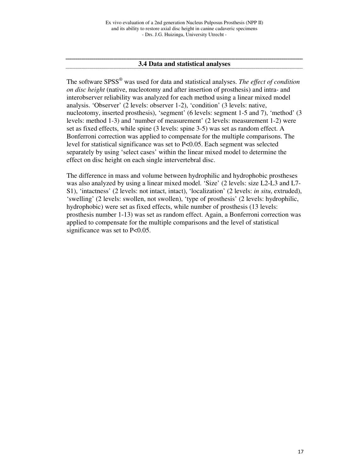# **3.4 Data and statistical analyses**

The software SPSS® was used for data and statistical analyses. *The effect of condition on disc height* (native, nucleotomy and after insertion of prosthesis) and intra- and interobserver reliability was analyzed for each method using a linear mixed model analysis. 'Observer' (2 levels: observer 1-2), 'condition' (3 levels: native, nucleotomy, inserted prosthesis), 'segment' (6 levels: segment 1-5 and 7), 'method' (3 levels: method 1-3) and 'number of measurement' (2 levels: measurement 1-2) were set as fixed effects, while spine (3 levels: spine 3-5) was set as random effect. A Bonferroni correction was applied to compensate for the multiple comparisons. The level for statistical significance was set to P<0.05. Each segment was selected separately by using 'select cases' within the linear mixed model to determine the effect on disc height on each single intervertebral disc.

The difference in mass and volume between hydrophilic and hydrophobic prostheses was also analyzed by using a linear mixed model. 'Size' (2 levels: size L2-L3 and L7- S1), 'intactness' (2 levels: not intact, intact), 'localization' (2 levels: *in situ*, extruded), 'swelling' (2 levels: swollen, not swollen), 'type of prosthesis' (2 levels: hydrophilic, hydrophobic) were set as fixed effects, while number of prosthesis (13 levels: prosthesis number 1-13) was set as random effect. Again, a Bonferroni correction was applied to compensate for the multiple comparisons and the level of statistical significance was set to P<0.05.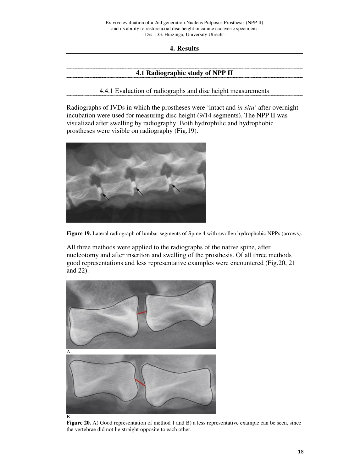**4. Results** 

#### **4.1 Radiographic study of NPP II**

4.4.1 Evaluation of radiographs and disc height measurements

Radiographs of IVDs in which the prostheses were 'intact and *in situ'* after overnight incubation were used for measuring disc height (9/14 segments). The NPP II was visualized after swelling by radiography. Both hydrophilic and hydrophobic prostheses were visible on radiography (Fig.19).



**Figure 19.** Lateral radiograph of lumbar segments of Spine 4 with swollen hydrophobic NPPs (arrows).

All three methods were applied to the radiographs of the native spine, after nucleotomy and after insertion and swelling of the prosthesis. Of all three methods good representations and less representative examples were encountered (Fig.20, 21 and 22).



**Figure 20.** A) Good representation of method 1 and B) a less representative example can be seen, since the vertebrae did not lie straight opposite to each other.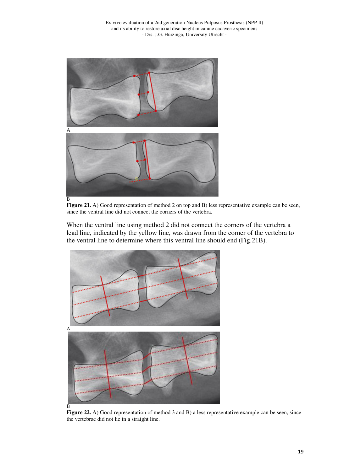



When the ventral line using method 2 did not connect the corners of the vertebra a lead line, indicated by the yellow line, was drawn from the corner of the vertebra to the ventral line to determine where this ventral line should end (Fig.21B).



**Figure 22.** A) Good representation of method 3 and B) a less representative example can be seen, since the vertebrae did not lie in a straight line.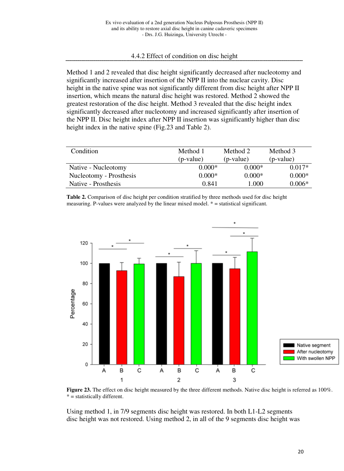# 4.4.2 Effect of condition on disc height

Method 1 and 2 revealed that disc height significantly decreased after nucleotomy and significantly increased after insertion of the NPP II into the nuclear cavity. Disc height in the native spine was not significantly different from disc height after NPP II insertion, which means the natural disc height was restored. Method 2 showed the greatest restoration of the disc height. Method 3 revealed that the disc height index significantly decreased after nucleotomy and increased significantly after insertion of the NPP II. Disc height index after NPP II insertion was significantly higher than disc height index in the native spine (Fig.23 and Table 2).

| Condition               | Method 1  | Method 2  | Method 3  |
|-------------------------|-----------|-----------|-----------|
|                         | (p-value) | (p-value) | (p-value) |
| Native - Nucleotomy     | $0.000*$  | $0.000*$  | $0.017*$  |
| Nucleotomy - Prosthesis | $0.000*$  | $0.000*$  | $0.000*$  |
| Native - Prosthesis     | 0.841     | 1.000     | $0.006*$  |

**Table 2.** Comparison of disc height per condition stratified by three methods used for disc height measuring. P-values were analyzed by the linear mixed model. \* = statistical significant.



Figure 23. The effect on disc height measured by the three different methods. Native disc height is referred as  $100\%$ .  $* =$  statistically different.

Using method 1, in 7/9 segments disc height was restored. In both L1-L2 segments disc height was not restored. Using method 2, in all of the 9 segments disc height was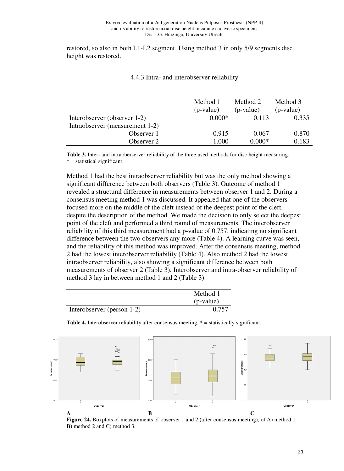restored, so also in both L1-L2 segment. Using method 3 in only 5/9 segments disc height was restored.

|                                 | Method 1<br>(p-value) | Method 2<br>(p-value) | Method 3<br>(p-value) |
|---------------------------------|-----------------------|-----------------------|-----------------------|
| Interobserver (observer 1-2)    | $0.000*$              | 0.113                 | 0.335                 |
| Intraobserver (measurement 1-2) |                       |                       |                       |
| Observer 1                      | 0.915                 | 0.067                 | 0.870                 |
| Observer 2                      | 1.000                 | $0.000*$              | 0.183                 |

4.4.3 Intra- and interobserver reliability

**Table 3.** Inter- and intraoberserver reliability of the three used methods for disc height measuring.  $* =$  statistical significant.

Method 1 had the best intraobserver reliability but was the only method showing a significant difference between both observers (Table 3). Outcome of method 1 revealed a structural difference in measurements between observer 1 and 2. During a consensus meeting method 1 was discussed. It appeared that one of the observers focused more on the middle of the cleft instead of the deepest point of the cleft, despite the description of the method. We made the decision to only select the deepest point of the cleft and performed a third round of measurements. The interobserver reliability of this third measurement had a p-value of 0.757, indicating no significant difference between the two observers any more (Table 4). A learning curve was seen, and the reliability of this method was improved. After the consensus meeting, method 2 had the lowest interobserver reliability (Table 4). Also method 2 had the lowest intraobserver reliability, also showing a significant difference between both measurements of observer 2 (Table 3). Interobserver and intra-observer reliability of method 3 lay in between method 1 and 2 (Table 3).

|                            | Method 1    |
|----------------------------|-------------|
|                            | $(p-value)$ |
| Interobserver (person 1-2) | 0.757       |

Table 4. Interobserver reliability after consensus meeting. \* = statistically significant.



**Figure 24.** Boxplots of measurements of observer 1 and 2 (after consensus meeting), of A) method 1 B) method 2 and C) method 3.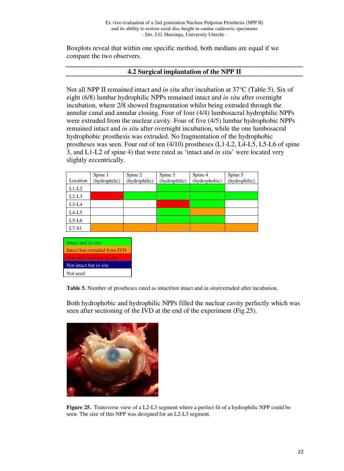Boxplots reveal that within one specific method, both medians are equal if we compare the two observers.

#### **4.2 Surgical implantation of the NPP II**

Not all NPP II remained intact and *in situ* after incubation at 37°C (Table 5). Six of eight (6/8) lumbar hydrophilic NPPs remained intact and *in situ* after overnight incubation, where 2/8 showed fragmentation whilst being extruded through the annular canal and annular closing. Four of four (4/4) lumbosacral hydrophilic NPPs were extruded from the nuclear cavity. Four of five (4/5) lumbar hydrophobic NPPs remained intact and *in situ* after overnight incubation, while the one lumbosacral hydrophobic prosthesis was extruded. No fragmentation of the hydrophobic prostheses was seen. Four out of ten (4/10) prostheses (L1-L2, L4-L5, L5-L6 of spine 3, and L1-L2 of spine 4) that were rated as 'intact and *in situ*' were located very slightly eccentrically.

|          | Spine 1       | Spine 2       | Spine 3       | Spine 4       | Spine 5       |
|----------|---------------|---------------|---------------|---------------|---------------|
| Location | (hydrophilic) | (hydrophilic) | (hydrophilic) | (hydrophobic) | (hydrophilic) |
| $L1-L2$  |               |               |               |               |               |
| $L2-L3$  |               |               |               |               |               |
| $L3-L4$  |               |               |               |               |               |
| $L4-L5$  |               |               |               |               |               |
| $L5-L6$  |               |               |               |               |               |
| $L7-S1$  |               |               |               |               |               |

Intact and *in situ* Intact but extruded from IVD Not intact and not *in situ* Not intact but *in situ* Not used

**Table 5.** Number of prostheses rated as intact/not intact and in situ/extruded after incubation.

Both hydrophobic and hydrophilic NPPs filled the nuclear cavity perfectly which was seen after sectioning of the IVD at the end of the experiment (Fig.25).



**Figure 25.** Transverse view of a L2-L3 segment where a perfect fit of a hydrophilic NPP could be seen. The size of this NPP was designed for an L2-L3 segment.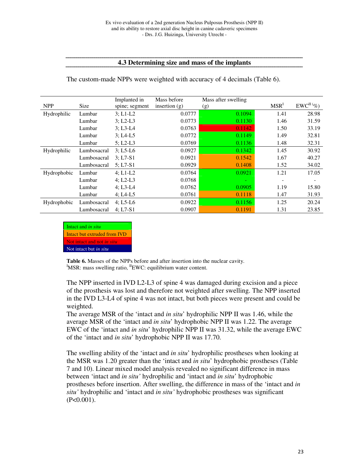#### **4.3 Determining size and mass of the implants**

The custom-made NPPs were weighted with accuracy of 4 decimals (Table 6).

|             |             | Implanted in   | Mass before     | Mass after swelling      |                          |            |
|-------------|-------------|----------------|-----------------|--------------------------|--------------------------|------------|
| <b>NPP</b>  | <b>Size</b> | spine; segment | insertion $(g)$ | (g)                      | MSR <sup>I</sup>         | $EWCH(\%)$ |
| Hydrophilic | Lumbar      | $3: L1-L2$     | 0.0777          | 0.1094                   | 1.41                     | 28.98      |
|             | Lumbar      | $3: L2-L3$     | 0.0773          | 0.1130                   | 1.46                     | 31.59      |
|             | Lumbar      | $3: L3-L4$     | 0.0763          | 0.1142                   | 1.50                     | 33.19      |
|             | Lumbar      | $3: LA-L5$     | 0.0772          | 0.1149                   | 1.49                     | 32.81      |
|             | Lumbar      | $5: L2-L3$     | 0.0769          | 0.1136                   | 1.48                     | 32.31      |
| Hydrophilic | Lumbosacral | $3: L5-L6$     | 0.0927          | 0.1342                   | 1.45                     | 30.92      |
|             | Lumbosacral | $3: L7-S1$     | 0.0921          | 0.1542                   | 1.67                     | 40.27      |
|             | Lumbosacral | $5: L7-S1$     | 0.0929          | 0.1408                   | 1.52                     | 34.02      |
| Hydrophobic | Lumbar      | $4; L1-L2$     | 0.0764          | 0.0921                   | 1.21                     | 17.05      |
|             | Lumbar      | $4; L2-L3$     | 0.0768          | $\overline{\phantom{a}}$ | $\overline{\phantom{a}}$ |            |
|             | Lumbar      | $4: L3-L4$     | 0.0762          | 0.0905                   | 1.19                     | 15.80      |
|             | Lumbar      | $4; LA-L5$     | 0.0761          | 0.1118                   | 1.47                     | 31.93      |
| Hydrophobic | Lumbosacral | $4; L5-L6$     | 0.0922          | 0.1156                   | 1.25                     | 20.24      |
|             | Lumbosacral | $4: L7-S1$     | 0.0907          | 0.1191                   | 1.31                     | 23.85      |



**Table 6.** Masses of the NPPs before and after insertion into the nuclear cavity.  ${}^{I}$ MSR: mass swelling ratio,  ${}^{II}$ EWC: equilibrium water content.

The NPP inserted in IVD L2-L3 of spine 4 was damaged during excision and a piece of the prosthesis was lost and therefore not weighted after swelling. The NPP inserted in the IVD L3-L4 of spine 4 was not intact, but both pieces were present and could be weighted.

The average MSR of the 'intact and *in situ*' hydrophilic NPP II was 1.46, while the average MSR of the 'intact and *in situ*' hydrophobic NPP II was 1.22. The average EWC of the 'intact and *in situ*' hydrophilic NPP II was 31.32, while the average EWC of the 'intact and *in situ*' hydrophobic NPP II was 17.70.

The swelling ability of the 'intact and *in situ*' hydrophilic prostheses when looking at the MSR was 1.20 greater than the 'intact and *in situ*' hydrophobic prostheses (Table 7 and 10). Linear mixed model analysis revealed no significant difference in mass between 'intact and *in situ'* hydrophilic and 'intact and *in situ*' hydrophobic prostheses before insertion. After swelling, the difference in mass of the 'intact and *in situ'* hydrophilic and 'intact and *in situ'* hydrophobic prostheses was significant  $(P<0.001)$ .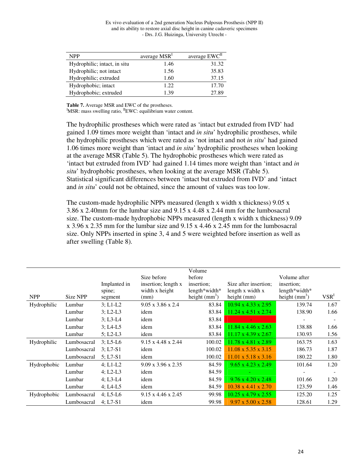| <b>NPP</b>                   | average MSR <sup>1</sup> | average EWC <sup>II</sup> |
|------------------------------|--------------------------|---------------------------|
| Hydrophilic; intact, in situ | 1.46                     | 31.32                     |
| Hydrophilic; not intact      | 1.56                     | 35.83                     |
| Hydrophilic; extruded        | 1.60                     | 37.15                     |
| Hydrophobic; intact          | 1.22                     | 17.70                     |
| Hydrophobic; extruded        | 1.39                     | 27.89                     |

**Table 7.** Average MSR and EWC of the prostheses. <sup>I</sup>MSR: mass swelling ratio, <sup>II</sup>EWC: equilibrium water content.

The hydrophilic prostheses which were rated as 'intact but extruded from IVD' had gained 1.09 times more weight than 'intact and *in situ*' hydrophilic prostheses, while the hydrophilic prostheses which were rated as 'not intact and not *in situ*' had gained 1.06 times more weight than 'intact and *in situ*' hydrophilic prostheses when looking at the average MSR (Table 5). The hydrophobic prostheses which were rated as 'intact but extruded from IVD' had gained 1.14 times more weight than 'intact and *in situ*' hydrophobic prostheses, when looking at the average MSR (Table 5). Statistical significant differences between 'intact but extruded from IVD' and 'intact and *in situ*' could not be obtained, since the amount of values was too low.

The custom-made hydrophilic NPPs measured (length x width x thickness)  $9.05 \times$ 3.86 x 2.40mm for the lumbar size and 9.15 x 4.48 x 2.44 mm for the lumbosacral size. The custom-made hydrophobic NPPs measured (length x width x thickness) 9.09 x 3.96 x 2.35 mm for the lumbar size and 9.15 x 4.46 x 2.45 mm for the lumbosacral size. Only NPPs inserted in spine 3, 4 and 5 were weighted before insertion as well as after swelling (Table 8).

|                    |             |              |                                | Volume          |                                 |                          |                          |
|--------------------|-------------|--------------|--------------------------------|-----------------|---------------------------------|--------------------------|--------------------------|
|                    |             |              | Size before                    | before          |                                 | Volume after             |                          |
|                    |             | Implanted in | insertion; length x            | insertion;      | Size after insertion;           | insertion;               |                          |
|                    |             | spine;       | width x height                 | $length*width*$ | length x width x                | $length*width*$          |                          |
| <b>NPP</b>         | Size NPP    | segment      | (mm)                           | height $(mm3)$  | height $(mm)$                   | height $(mm3)$           | VSR <sup>1</sup>         |
| Hydrophilic        | Lumbar      | $3: L1-L2$   | $9.05 \times 3.86 \times 2.4$  | 83.84           | $10.94 \times 4.33 \times 2.95$ | 139.74                   | 1.67                     |
|                    | Lumbar      | $3: L2-L3$   | idem                           | 83.84           | $11.24 \times 4.51 \times 2.74$ | 138.90                   | 1.66                     |
|                    | Lumbar      | $3: L3-L4$   | idem                           | 83.84           |                                 |                          | $\overline{\phantom{a}}$ |
|                    | Lumbar      | $3: LA-L5$   | idem                           | 83.84           | $11.84 \times 4.46 \times 2.63$ | 138.88                   | 1.66                     |
|                    | Lumbar      | $5: L2-L3$   | idem                           | 83.84           | $11.17 \times 4.39 \times 2.67$ | 130.93                   | 1.56                     |
| Hydrophilic        | Lumbosacral | $3; L5-L6$   | $9.15 \times 4.48 \times 2.44$ | 100.02          | 11.78 x 4.81 x 2.89             | 163.75                   | 1.63                     |
|                    | Lumbosacral | $3: L7-S1$   | idem                           | 100.02          | $11.08 \times 5.35 \times 3.15$ | 186.73                   | 1.87                     |
|                    | Lumbosacral | $5: L7-S1$   | idem                           | 100.02          | $11.01 \times 5.18 \times 3.16$ | 180.22                   | 1.80                     |
| <b>Hydrophobic</b> | Lumbar      | $4; L1-L2$   | $9.09 \times 3.96 \times 2.35$ | 84.59           | $9.65 \times 4.23 \times 2.49$  | 101.64                   | 1.20                     |
|                    | Lumbar      | $4: L2-L3$   | idem                           | 84.59           | $\sim$                          | $\overline{\phantom{a}}$ |                          |
|                    | Lumbar      | $4: L3-L4$   | idem                           | 84.59           | $9.76 \times 4.20 \times 2.48$  | 101.66                   | 1.20                     |
|                    | Lumbar      | $4: LA-L5$   | idem                           | 84.59           | $10.38 \times 4.41 \times 2.70$ | 123.59                   | 1.46                     |
| Hydrophobic        | Lumbosacral | $4: L5-L6$   | $9.15 \times 4.46 \times 2.45$ | 99.98           | $10.25 \times 4.79 \times 2.55$ | 125.20                   | 1.25                     |
|                    | Lumbosacral | $4; L7-S1$   | idem                           | 99.98           | $9.97 \times 5.00 \times 2.58$  | 128.61                   | 1.29                     |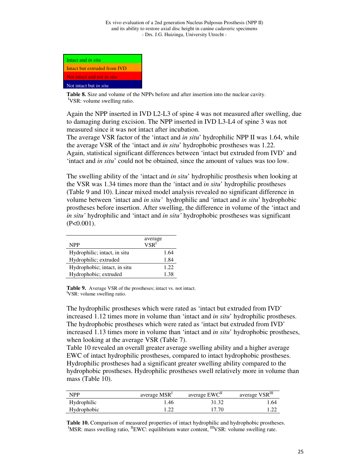| Intact and <i>in situ</i>         |  |
|-----------------------------------|--|
| Intact but extruded from IVD      |  |
| Not intact and not <i>in situ</i> |  |
| Not intact but <i>in situ</i>     |  |

**Table 8.** Size and volume of the NPPs before and after insertion into the nuclear cavity. <sup>I</sup>VSR: volume swelling ratio.

Again the NPP inserted in IVD L2-L3 of spine 4 was not measured after swelling, due to damaging during excision. The NPP inserted in IVD L3-L4 of spine 3 was not measured since it was not intact after incubation.

The average VSR factor of the 'intact and *in situ*' hydrophilic NPP II was 1.64, while the average VSR of the 'intact and *in situ*' hydrophobic prostheses was 1.22. Again, statistical significant differences between 'intact but extruded from IVD' and 'intact and *in situ*' could not be obtained, since the amount of values was too low.

The swelling ability of the 'intact and *in situ*' hydrophilic prosthesis when looking at the VSR was 1.34 times more than the 'intact and *in situ*' hydrophilic prostheses (Table 9 and 10). Linear mixed model analysis revealed no significant difference in volume between 'intact and *in situ'* hydrophilic and 'intact and *in situ*' hydrophobic prostheses before insertion. After swelling, the difference in volume of the 'intact and *in situ'* hydrophilic and 'intact and *in situ'* hydrophobic prostheses was significant  $(P<0.001)$ .

| <b>NPP</b>                   | average<br>VSR <sup>1</sup> |
|------------------------------|-----------------------------|
| Hydrophilic; intact, in situ | 1.64                        |
| Hydrophilic; extruded        | 1.84                        |
| Hydrophobic; intact, in situ | 1.22                        |
| Hydrophobic; extruded        | 1.38                        |

Table 9. Average VSR of the prostheses; intact vs. not intact. <sup>I</sup>VSR: volume swelling ratio.

The hydrophilic prostheses which were rated as 'intact but extruded from IVD' increased 1.12 times more in volume than 'intact and *in situ*' hydrophilic prostheses. The hydrophobic prostheses which were rated as 'intact but extruded from IVD' increased 1.13 times more in volume than 'intact and *in situ*' hydrophobic prostheses, when looking at the average VSR (Table 7).

Table 10 revealed an overall greater average swelling ability and a higher average EWC of intact hydrophilic prostheses, compared to intact hydrophobic prostheses. Hydrophilic prostheses had a significant greater swelling ability compared to the hydrophobic prostheses. Hydrophilic prostheses swell relatively more in volume than mass (Table 10).

| <b>NPP</b>  | average MSR <sup>1</sup> | average EWC <sup>II</sup> | average VSRIII |
|-------------|--------------------------|---------------------------|----------------|
| Hydrophilic | l.46                     | 31.32                     | 1.64           |
| Hydrophobic |                          | 17.70                     | 1.44           |

**Table 10.** Comparison of measured properties of intact hydrophilic and hydrophobic prostheses.  ${}^{I}$ MSR: mass swelling ratio,  ${}^{II}$ EWC: equilibrium water content,  ${}^{III}$ VSR: volume swelling rate.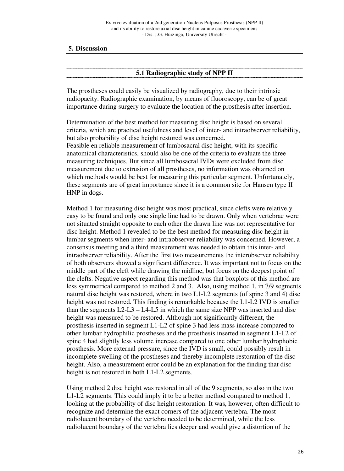# **5. Discussion**

#### **5.1 Radiographic study of NPP II**

The prostheses could easily be visualized by radiography, due to their intrinsic radiopacity. Radiographic examination, by means of fluoroscopy, can be of great importance during surgery to evaluate the location of the prosthesis after insertion.

Determination of the best method for measuring disc height is based on several criteria, which are practical usefulness and level of inter- and intraobserver reliability, but also probability of disc height restored was concerned.

Feasible en reliable measurement of lumbosacral disc height, with its specific anatomical characteristics, should also be one of the criteria to evaluate the three measuring techniques. But since all lumbosacral IVDs were excluded from disc measurement due to extrusion of all prostheses, no information was obtained on which methods would be best for measuring this particular segment. Unfortunately, these segments are of great importance since it is a common site for Hansen type II HNP in dogs.

Method 1 for measuring disc height was most practical, since clefts were relatively easy to be found and only one single line had to be drawn. Only when vertebrae were not situated straight opposite to each other the drawn line was not representative for disc height. Method 1 revealed to be the best method for measuring disc height in lumbar segments when inter- and intraobserver reliability was concerned. However, a consensus meeting and a third measurement was needed to obtain this inter- and intraobserver reliability. After the first two measurements the interobserver reliability of both observers showed a significant difference. It was important not to focus on the middle part of the cleft while drawing the midline, but focus on the deepest point of the clefts. Negative aspect regarding this method was that boxplots of this method are less symmetrical compared to method 2 and 3. Also, using method 1, in 7/9 segments natural disc height was restored, where in two L1-L2 segments (of spine 3 and 4) disc height was not restored. This finding is remarkable because the L1-L2 IVD is smaller than the segments  $L2-L3 - L4-L5$  in which the same size NPP was inserted and disc height was measured to be restored. Although not significantly different, the prosthesis inserted in segment L1-L2 of spine 3 had less mass increase compared to other lumbar hydrophilic prostheses and the prosthesis inserted in segment L1-L2 of spine 4 had slightly less volume increase compared to one other lumbar hydrophobic prosthesis. More external pressure, since the IVD is small, could possibly result in incomplete swelling of the prostheses and thereby incomplete restoration of the disc height. Also, a measurement error could be an explanation for the finding that disc height is not restored in both L1-L2 segments.

Using method 2 disc height was restored in all of the 9 segments, so also in the two L1-L2 segments. This could imply it to be a better method compared to method 1, looking at the probability of disc height restoration. It was, however, often difficult to recognize and determine the exact corners of the adjacent vertebra. The most radiolucent boundary of the vertebra needed to be determined, while the less radiolucent boundary of the vertebra lies deeper and would give a distortion of the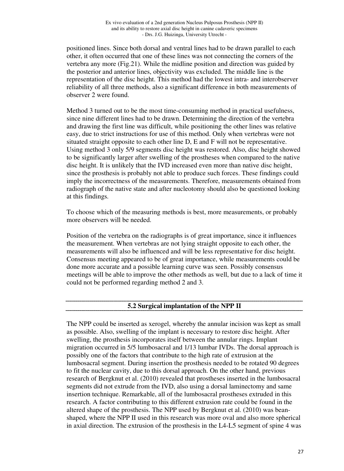positioned lines. Since both dorsal and ventral lines had to be drawn parallel to each other, it often occurred that one of these lines was not connecting the corners of the vertebra any more (Fig.21). While the midline position and direction was guided by the posterior and anterior lines, objectivity was excluded. The middle line is the representation of the disc height. This method had the lowest intra- and interobserver reliability of all three methods, also a significant difference in both measurements of observer 2 were found.

Method 3 turned out to be the most time-consuming method in practical usefulness, since nine different lines had to be drawn. Determining the direction of the vertebra and drawing the first line was difficult, while positioning the other lines was relative easy, due to strict instructions for use of this method. Only when vertebras were not situated straight opposite to each other line D, E and F will not be representative. Using method 3 only 5/9 segments disc height was restored. Also, disc height showed to be significantly larger after swelling of the prostheses when compared to the native disc height. It is unlikely that the IVD increased even more than native disc height, since the prosthesis is probably not able to produce such forces. These findings could imply the incorrectness of the measurements. Therefore, measurements obtained from radiograph of the native state and after nucleotomy should also be questioned looking at this findings.

To choose which of the measuring methods is best, more measurements, or probably more observers will be needed.

Position of the vertebra on the radiographs is of great importance, since it influences the measurement. When vertebras are not lying straight opposite to each other, the measurements will also be influenced and will be less representative for disc height. Consensus meeting appeared to be of great importance, while measurements could be done more accurate and a possible learning curve was seen. Possibly consensus meetings will be able to improve the other methods as well, but due to a lack of time it could not be performed regarding method 2 and 3.

## **5.2 Surgical implantation of the NPP II**

The NPP could be inserted as xerogel, whereby the annular incision was kept as small as possible. Also, swelling of the implant is necessary to restore disc height. After swelling, the prosthesis incorporates itself between the annular rings. Implant migration occurred in 5/5 lumbosacral and 1/13 lumbar IVDs. The dorsal approach is possibly one of the factors that contribute to the high rate of extrusion at the lumbosacral segment. During insertion the prosthesis needed to be rotated 90 degrees to fit the nuclear cavity, due to this dorsal approach. On the other hand, previous research of Bergknut et al. (2010) revealed that prostheses inserted in the lumbosacral segments did not extrude from the IVD, also using a dorsal laminectomy and same insertion technique. Remarkable, all of the lumbosacral prostheses extruded in this research. A factor contributing to this different extrusion rate could be found in the altered shape of the prosthesis. The NPP used by Bergknut et al. (2010) was beanshaped, where the NPP II used in this research was more oval and also more spherical in axial direction. The extrusion of the prosthesis in the L4-L5 segment of spine 4 was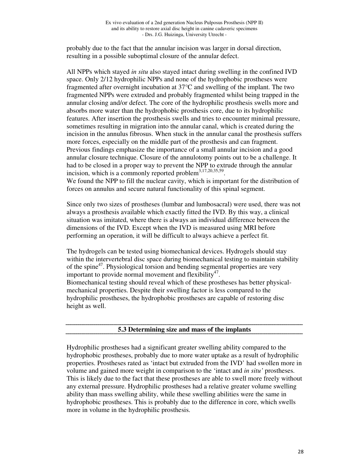probably due to the fact that the annular incision was larger in dorsal direction, resulting in a possible suboptimal closure of the annular defect.

All NPPs which stayed *in situ* also stayed intact during swelling in the confined IVD space. Only 2/12 hydrophilic NPPs and none of the hydrophobic prostheses were fragmented after overnight incubation at 37°C and swelling of the implant. The two fragmented NPPs were extruded and probably fragmented whilst being trapped in the annular closing and/or defect. The core of the hydrophilic prosthesis swells more and absorbs more water than the hydrophobic prosthesis core, due to its hydrophilic features. After insertion the prosthesis swells and tries to encounter minimal pressure, sometimes resulting in migration into the annular canal, which is created during the incision in the annulus fibrosus. When stuck in the annular canal the prosthesis suffers more forces, especially on the middle part of the prosthesis and can fragment. Previous findings emphasize the importance of a small annular incision and a good annular closure technique. Closure of the annulotomy points out to be a challenge. It had to be closed in a proper way to prevent the NPP to extrude through the annular incision, which is a commonly reported problem<sup>3,17,20,35,59</sup>.

We found the NPP to fill the nuclear cavity, which is important for the distribution of forces on annulus and secure natural functionality of this spinal segment.

Since only two sizes of prostheses (lumbar and lumbosacral) were used, there was not always a prosthesis available which exactly fitted the IVD. By this way, a clinical situation was imitated, where there is always an individual difference between the dimensions of the IVD. Except when the IVD is measured using MRI before performing an operation, it will be difficult to always achieve a perfect fit.

The hydrogels can be tested using biomechanical devices. Hydrogels should stay within the intervertebral disc space during biomechanical testing to maintain stability of the spine<sup>47</sup>. Physiological torsion and bending segmental properties are very important to provide normal movement and flexibility $47$ . Biomechanical testing should reveal which of these prostheses has better physicalmechanical properties. Despite their swelling factor is less compared to the hydrophilic prostheses, the hydrophobic prostheses are capable of restoring disc height as well.

## **5.3 Determining size and mass of the implants**

Hydrophilic prostheses had a significant greater swelling ability compared to the hydrophobic prostheses, probably due to more water uptake as a result of hydrophilic properties. Prostheses rated as 'intact but extruded from the IVD' had swollen more in volume and gained more weight in comparison to the 'intact and *in situ'* prostheses. This is likely due to the fact that these prostheses are able to swell more freely without any external pressure. Hydrophilic prostheses had a relative greater volume swelling ability than mass swelling ability, while these swelling abilities were the same in hydrophobic prostheses. This is probably due to the difference in core, which swells more in volume in the hydrophilic prosthesis.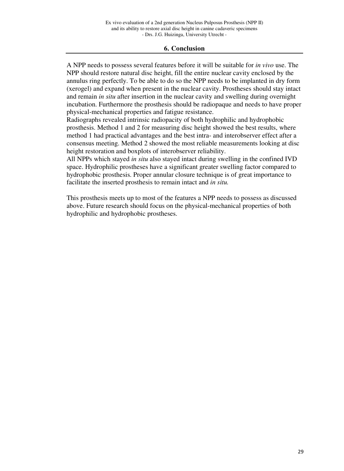# **6. Conclusion**

A NPP needs to possess several features before it will be suitable for *in vivo* use. The NPP should restore natural disc height, fill the entire nuclear cavity enclosed by the annulus ring perfectly. To be able to do so the NPP needs to be implanted in dry form (xerogel) and expand when present in the nuclear cavity. Prostheses should stay intact and remain *in situ* after insertion in the nuclear cavity and swelling during overnight incubation. Furthermore the prosthesis should be radiopaque and needs to have proper physical-mechanical properties and fatigue resistance.

Radiographs revealed intrinsic radiopacity of both hydrophilic and hydrophobic prosthesis. Method 1 and 2 for measuring disc height showed the best results, where method 1 had practical advantages and the best intra- and interobserver effect after a consensus meeting. Method 2 showed the most reliable measurements looking at disc height restoration and boxplots of interobserver reliability.

All NPPs which stayed *in situ* also stayed intact during swelling in the confined IVD space. Hydrophilic prostheses have a significant greater swelling factor compared to hydrophobic prosthesis. Proper annular closure technique is of great importance to facilitate the inserted prosthesis to remain intact and *in situ.*

This prosthesis meets up to most of the features a NPP needs to possess as discussed above. Future research should focus on the physical-mechanical properties of both hydrophilic and hydrophobic prostheses.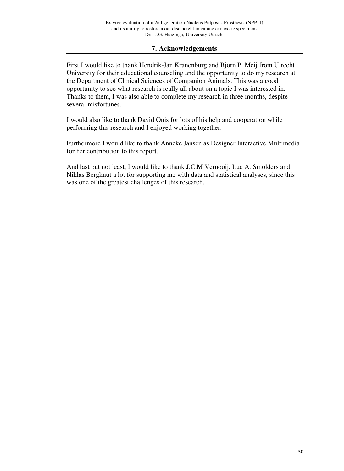# **7. Acknowledgements**

First I would like to thank Hendrik-Jan Kranenburg and Bjorn P. Meij from Utrecht University for their educational counseling and the opportunity to do my research at the Department of Clinical Sciences of Companion Animals. This was a good opportunity to see what research is really all about on a topic I was interested in. Thanks to them, I was also able to complete my research in three months, despite several misfortunes.

I would also like to thank David Onis for lots of his help and cooperation while performing this research and I enjoyed working together.

Furthermore I would like to thank Anneke Jansen as Designer Interactive Multimedia for her contribution to this report.

And last but not least, I would like to thank J.C.M Vernooij, Luc A. Smolders and Niklas Bergknut a lot for supporting me with data and statistical analyses, since this was one of the greatest challenges of this research.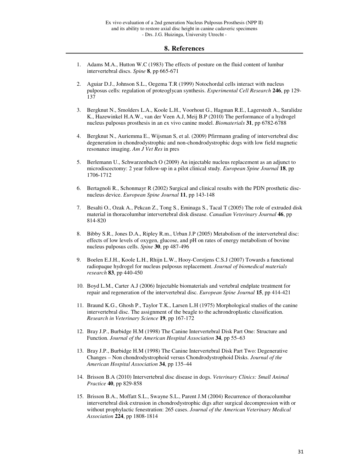#### **8. References**

- 1. Adams M.A., Hutton W.C (1983) The effects of posture on the fluid content of lumbar intervertebral discs. *Spine* **8**, pp 665-671
- 2. Aguiar D.J., Johnson S.L., Oegema T.R (1999) Notochordal cells interact with nucleus pulposus cells: regulation of proteoglycan synthesis. *Experimental Cell Research* **246**, pp 129- 137
- 3. Bergknut N., Smolders L.A., Koole L.H., Voorhout G., Hagman R.E., Lagerstedt A., Saralidze K., Hazewinkel H.A.W., van der Veen A.J, Meij B.P (2010) The performance of a hydrogel nucleus pulposus prosthesis in an ex vivo canine model. *Biomaterials* **31**, pp 6782-6788
- 4. Bergknut N., Auriemma E., Wijsman S, et al. (2009) Pfirrmann grading of intervertebral disc degeneration in chondrodystrophic and non-chondrodystrophic dogs with low field magnetic resonance imaging. *Am J Vet Res* in pres
- 5. Berlemann U., Schwarzenbach O (2009) An injectable nucleus replacement as an adjunct to microdiscectomy: 2 year follow-up in a pilot clinical study. *European Spine Journal* **18**, pp 1706-1712
- 6. Bertagnoli R., Schonmayr R (2002) Surgical and clinical results with the PDN prosthetic discnucleus device. *European Spine Journal* **11**, pp 143-148
- 7. Besalti O., Ozak A., Pekcan Z., Tong S., Eminaga S., Tacal T (2005) The role of extruded disk material in thoracolumbar intervertebral disk disease. *Canadian Veterinary Journal* **46**, pp 814-820
- 8. Bibby S.R., Jones D.A., Ripley R.m., Urban J.P (2005) Metabolism of the intervertebral disc: effects of low levels of oxygen, glucose, and pH on rates of energy metabolism of bovine nucleus pulposus cells. *Spine* **30**, pp 487-496
- 9. Boelen E.J.H., Koole L.H., Rhijn L.W., Hooy-Corstjens C.S.J (2007) Towards a functional radiopaque hydrogel for nucleus pulposus replacement. *Journal of biomedical materials research* **83**, pp 440-450
- 10. Boyd L.M., Carter A.J (2006) Injectable biomaterials and vertebral endplate treatment for repair and regeneration of the intervertebral disc. *European Spine Journal* **15**, pp 414-421
- 11. Braund K.G., Ghosh P., Taylor T.K., Larsen L.H (1975) Morphological studies of the canine intervertebral disc. The assignment of the beagle to the achrondroplastic classification. *Research in Veterinary Science* **19**, pp 167-172
- 12. Bray J.P., Burbidge H.M (1998) The Canine Intervertebral Disk Part One: Structure and Function. *Journal of the American Hospital Association* **34**, pp 55–63
- 13. Bray J.P., Burbidge H.M (1998) The Canine Intervertebral Disk Part Two: Degenerative Changes – Non chondrodystrophoid versus Chondrodystrophoid Disks. *Journal of the American Hospital Association* **34**, pp 135–44
- 14. Brisson B.A (2010) Intervertebral disc disease in dogs. *Veterinary Clinics: Small Animal Practice* **40**, pp 829-858
- 15. Brisson B.A., Moffatt S.L., Swayne S.L., Parent J.M (2004) Recurrence of thoracolumbar intervertebral disk extrusion in chondrodystrophic digs after surgical decompression with or without prophylactic fenestration: 265 cases. *Journal of the American Veterinary Medical Association* **224**, pp 1808-1814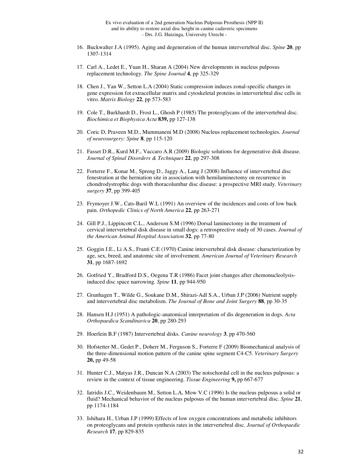- 16. Buckwalter J.A (1995). Aging and degeneration of the human intervertebral disc. *Spine* **20**, pp 1307-1314
- 17. Carl A., Ledet E., Yuan H., Sharan A (2004) New developments in nucleus pulposus replacement technology. *The Spine Journal* **4**, pp 325-329
- 18. Chen J., Yan W., Setton L.A (2004) Static compression induces zonal-specific changes in gene expression fot extracellular matrix and cytoskeletal proteins in intervertebral disc cells in vitro. *Matrix Biology* **22**, pp 573-583
- 19. Cole T., Burkhardt D., Frost L., Ghosh P (1985) The proteoglycans of the intervertebral disc. *Biochimica et Biophysica Acta* **839,** pp 127-138
- 20. Coric D, Praveen M.D., Mummaneni M.D (2008) Nucleus replacement technologies. *Journal of neurosurgery: Spine* **8**, pp 115-120
- 21. Fasset D.R., Kurd M.F., Vaccaro A.R (2009) Biologic solutions for degenerative disk disease. *Journal of Spinal Disorders & Techniques* **22**, pp 297-308
- 22. Forterre F., Konar M., Spreng D., Jaggy A., Lang J (2008) Influence of intervertebral disc fenestration at the herniation site in association with hemilaminectomy on recurrence in chondrodystrophic dogs with thoracolumbar disc disease: a prospective MRI study. *Veterinary surgery* **37**, pp 399-405
- 23. Frymoyer J.W., Cats-Baril W.L (1991) An overview of the incidences and costs of low back pain. *Orthopedic Clinics of North America* **22**, pp 263-271
- 24. Gill P.J., Lippincott C.L., Anderson S.M (1996) Dorsal laminectomy in the treatment of cervical intervertebral disk disease in small dogs: a retrosprective study of 30 cases. *Journal of the American Animal Hospital Association* **32**, pp 77-80
- 25. Goggin J.E., Li A.S., Franti C.E (1970) Canine intervertebral disk disease: characterization by age, sex, breed, and anatomic site of involvement. *American Journal of Veterinary Research* **31**, pp 1687-1692
- 26. Gotfried Y., Bradford D.S., Oegena T.R (1986) Facet joint changes after chemonucleolysisinduced disc space narrowing. *Spine* **11**, pp 944-950
- 27. Grunhagen T., Wilde G., Soukane D.M., Shirazi-Adl S.A., Urban J.P (2006) Nutrient supply and intervertebral disc metabolism. *The Journal of Bone and Joint Surgery* **88**, pp 30-35
- 28. Hansen H.J (1951) A pathologic-anatomical interpretation of dis degeneration in dogs. *Acta Orthopaedica Scandinavica* **20**, pp 280-293
- 29. Hoerlein B.F (1987) Intervertebral disks. *Canine neurology* **3**, pp 470-560
- 30. Hofstetter M., Gedet P., Doherr M., Ferguson S., Forterre F (2009) Biomechanical analysis of the three-dimensional motion pattern of the canine spine segment C4-C5. *Veterinary Surgery*  **20,** pp 49-58
- 31. Hunter C.J., Matyas J.R., Duncan N.A (2003) The notochordal cell in the nucleus pulposus: a review in the context of tissue engineering. *Tissue Engineering* **9,** pp 667-677
- 32. Iatridis J.C., Weidenbaum M., Setton L.A, Mow V.C (1996) Is the nucleus pulposus a solid or fluid? Mechanical behavior of the nucleus pulposus of the human intervertebral disc. *Spine* **21**, pp 1174-1184
- 33. Ishihara H., Urban J.P (1999) Effects of low oxygen concentrations and metabolic inhibitors on proteoglycans and protein synthesis rates in the intervertebral disc. *Journal of Orthopaedic Research* **17**, pp 829-835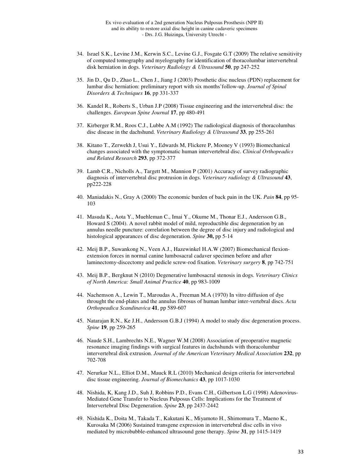- 34. Israel S.K., Levine J.M., Kerwin S.C., Levine G.J., Fosgate G.T (2009) The relative sensitivity of computed tomography and myelography for identification of thoracolumbar intervertebral disk herniation in dogs. *Veterinary Radiology & Ultrasound* **50**, pp 247-252
- 35. Jin D., Qu D., Zhao L., Chen J., Jiang J (2003) Prosthetic disc nucleus (PDN) replacement for lumbar disc herniation: preliminary report with six months'follow-up. *Journal of Spinal Disorders & Techniques* **16**, pp 331-337
- 36. Kandel R., Roberts S., Urban J.P (2008) Tissue engineering and the intervertebral disc: the challenges. *European Spine Journal* **17**, pp 480-491
- 37. Kirberger R.M., Roos C.J., Lubbe A.M (1992) The radiological diagnosis of thoracolumbas disc disease in the dachshund. *Veterinary Radiology & Ultrasound* **33**, pp 255-261
- 38. Kitano T., Zerwekh J, Usui Y., Edwards M, Flickere P, Mooney V (1993) Biomechanical changes associated with the symptomatic human intervertebral disc. *Clinical Orthopeadics and Related Research* **293**, pp 372-377
- 39. Lamb C.R., Nicholls A., Targett M., Mannion P (2001) Accuracy of survey radiographic diagnosis of intervertebral disc protrusion in dogs. *Veterinary radiology & Ultrasound* **43**, pp222-228
- 40. Maniadakis N., Gray A (2000) The economic burden of back pain in the UK. *Pain* **84**, pp 95- 103
- 41. Masuda K., Aota Y., Muehleman C., Imai Y., Okume M., Thonar E.J., Andersson G.B., Howard S (2004). A novel rabbit model of mild, reproductible disc degeneration by an annulus needle puncture: correlation between the degree of disc injury and radiological and histological appearances of disc degeneration. *Spine* **30,** pp 5-14
- 42. Meij B.P., Suwankong N., Veen A.J., Hazewinkel H.A.W (2007) Biomechanical flexionextension forces in normal canine lumbosacral cadaver specimen before and after laminectomy-discectomy and pedicle screw-rod fixation. *Veterinary surgery* **8**, pp 742-751
- 43. Meij B.P., Bergknut N (2010) Degenerative lumbosacral stenosis in dogs. *Veterinary Clinics of North America: Small Animal Practice* **40**, pp 983-1009
- 44. Nachemson A., Lewin T., Maroudas A., Freeman M.A (1970) In vitro diffusion of dye throught the end-plates and the annulus fibrosus of human lumbar inter-vertebral discs. *Acta Orthopeadica Scandinavica* **41**, pp 589-607
- 45. Natarajan R.N., Ke J.H., Andersson G.B.J (1994) A model to study disc degeneration process. *Spine* **19**, pp 259-265
- 46. Naude S.H., Lambrechts N.E., Wagner W.M (2008) Association of preoperative magnetic resonance imaging findings with surgical features in dachshunds with thoracolumbar intervertebral disk extrusion. *Journal of the American Veterinary Medical Association* **232**, pp 702-708
- 47. Nerurkar N.L., Elliot D.M., Mauck R.L (2010) Mechanical design criteria for intervertebral disc tissue engineering. *Journal of Biomechanics* **43**, pp 1017-1030
- 48. Nishida, K, Kang J.D., Suh J, Robbins P.D., Evans C.H., Gilbertson L.G (1998) Adenovirus-Mediated Gene Transfer to Nucleus Pulposus Cells: Implications for the Treatment of Intervertebral Disc Degeneration. *Spine* **23**, pp 2437-2442
- 49. Nishida K., Doita M., Takada T., Kakutani K., Miyamoto H., Shimomura T., Maeno K., Kurosaka M (2006) Sustained transgene expression in intervertebral disc cells in vivo mediated by microbubble-enhanced ultrasound gene therapy. *Spine* **31**, pp 1415-1419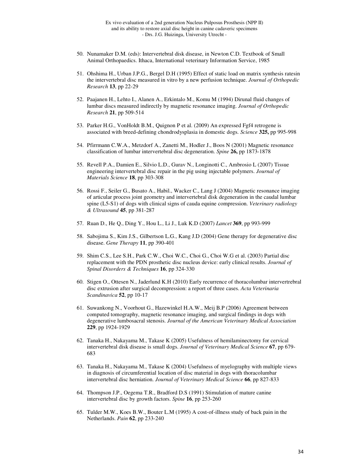- 50. Nunamaker D.M. (eds): Intervertebral disk disease, in Newton C.D. Textbook of Small Animal Orthopaedics. Ithaca, International veterinary Information Service, 1985
- 51. Ohshima H., Urban J.P.G., Bergel D.H (1995) Effect of static load on matrix synthesis ratesin the intervertebral disc measured in vitro by a new perfusion technique. *Journal of Orthopedic Research* **13**, pp 22-29
- 52. Paajanen H., Lehto I., Alanen A., Erkintalo M., Komu M (1994) Dirunal fluid changes of lumbar discs measured indirectly by magnetic resonance imaging. *Journal of Orthopedic Research* **21**, pp 509-514
- 53. Parker H.G., VonHoldt B.M., Quignon P et al. (2009) An expressed Fgf4 retrogene is associated with breed-defining chondrodysplasia in domestic dogs. *Science* **325,** pp 995-998
- 54. Pfirrmann C.W.A., Metzdorf A., Zanetti M., Hodler J., Boos N (2001) Magnetic resonance classification of lumbar intervertebral disc degeneration. *Spine* **26,** pp 1873-1878
- 55. Revell P.A., Damien E., Silvio L.D., Gurav N., Longinotti C., Ambrosio L (2007) Tissue engineering intervertebral disc repair in the pig using injectable polymers. *Journal of Materials Science* **18**, pp 303-308
- 56. Rossi F., Seiler G., Busato A., Habil., Wacker C., Lang J (2004) Magnetic resonance imaging of articular process joint geometry and intervertebral disk degeneration in the caudal lumbar spine (L5-S1) of dogs with clinical signs of cauda equine compression. *Veterinary radiology & Ultrasound* **45**, pp 381-287
- 57. Ruan D., He Q., Ding Y., Hou L., Li J., Luk K.D (2007) *Lancet* **369**, pp 993-999
- 58. Sabojima S., Kim J.S., Gilbertson L.G., Kang J.D (2004) Gene therapy for degenerative disc disease. *Gene Therapy* **11**, pp 390-401
- 59. Shim C.S., Lee S.H., Park C.W., Choi W.C., Choi G., Choi W.G et al. (2003) Partial disc replacement with the PDN prosthetic disc nucleus device: early clinical results. *Journal of Spinal Disorders & Techniques* **16**, pp 324-330
- 60. Stigen O., Ottesen N., Jaderlund K.H (2010) Early recurrence of thoracolumbar intervertrebral disc extrusion after surgical decompression: a report of three cases. *Acta Veterinaria Scandinavica* **52**, pp 10-17
- 61. Suwankong N., Voorhout G., Hazewinkel H.A.W., Meij B.P (2006) Agreement between computed tomography, magnetic resonance imaging, and surgical findings in dogs with degenerative lumbosacral stenosis. *Journal of the American Veterinary Medical Association*  **229**, pp 1924-1929
- 62. Tanaka H., Nakayama M., Takase K (2005) Usefulness of hemilaminectomy for cervical intervertebral disk disease is small dogs. *Journal of Veterinary Medical Science* **67**, pp 679- 683
- 63. Tanaka H., Nakayama M., Takase K (2004) Usefulness of myelography with multiple views in diagnosis of circumferential location of disc material in dogs with thoracolumbar intervertebral disc herniation. *Journal of Veterinary Medical Science* **66**, pp 827-833
- 64. Thompson J.P., Oegema T.R., Bradford D.S (1991) Stimulation of mature canine intervertebral disc by growth factors. *Spine* **16**, pp 253-260
- 65. Tulder M.W., Koes B.W., Bouter L.M (1995) A cost-of-illness study of back pain in the Netherlands. *Pain* **62**, pp 233-240